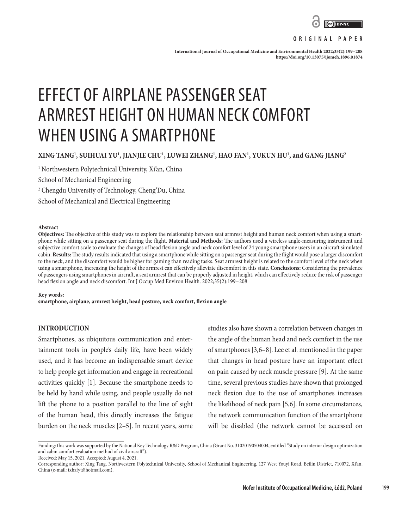

#### **ORIGINAL PAPER**

**International Journal of Occupational Medicine and Environmental Health 2022;35(2):199–208 <https://doi.org/10.13075/ijomeh.1896.01874>**

# EFFECT OF AIRPLANE PASSENGER SEAT ARMREST HEIGHT ON HUMAN NECK COMFORT WHEN USING A SMARTPHONE

# **XING TANG1 , SUIHUAI YU1 , JIANJIE CHU1 , LUWEI ZHANG1 , HAO FAN1 , YUKUN HU1 , and GANG JIANG2**

1 Northwestern Polytechnical University, Xi'an, China

School of Mechanical Engineering

2 Chengdu University of Technology, Cheng'Du, China

School of Mechanical and Electrical Engineering

#### **Abstract**

**Objectives:** The objective of this study was to explore the relationship between seat armrest height and human neck comfort when using a smartphone while sitting on a passenger seat during the flight. **Material and Methods:** The authors used a wireless angle-measuring instrument and subjective comfort scale to evaluate the changes of head flexion angle and neck comfort level of 24 young smartphone users in an aircraft simulated cabin. **Results:** The study results indicated that using a smartphone while sitting on a passenger seat during the flight would pose a larger discomfort to the neck, and the discomfort would be higher for gaming than reading tasks. Seat armrest height is related to the comfort level of the neck when using a smartphone, increasing the height of the armrest can effectively alleviate discomfort in this state. **Conclusions:** Considering the prevalence of passengers using smartphones in aircraft, a seat armrest that can be properly adjusted in height, which can effectively reduce the risk of passenger head flexion angle and neck discomfort. Int J Occup Med Environ Health. 2022;35(2):199–208

#### **Key words:**

**smartphone, airplane, armrest height, head posture, neck comfort, flexion angle**

## **INTRODUCTION**

Smartphones, as ubiquitous communication and entertainment tools in people's daily life, have been widely used, and it has become an indispensable smart device to help people get information and engage in recreational activities quickly [1]. Because the smartphone needs to be held by hand while using, and people usually do not lift the phone to a position parallel to the line of sight of the human head, this directly increases the fatigue burden on the neck muscles [2–5]. In recent years, some

studies also have shown a correlation between changes in the angle of the human head and neck comfort in the use of smartphones [3,6–8]. Lee et al. mentioned in the paper that changes in head posture have an important effect on pain caused by neck muscle pressure [9]. At the same time, several previous studies have shown that prolonged neck flexion due to the use of smartphones increases the likelihood of neck pain [5,6]. In some circumstances, the network communication function of the smartphone will be disabled (the network cannot be accessed on

Received: May 15, 2021. Accepted: August 4, 2021.

Funding: this work was supported by the National Key Technology R&D Program, China (Grant No. 31020190504004, entitled "Study on interior design optimization and cabin comfort evaluation method of civil aircraft").

Corresponding author: Xing Tang, Northwestern Polytechnical University, School of Mechanical Engineering, 127 West Youyi Road, Beilin District, 710072, Xi'an, China (e-mail: [txhzfyt@hotmail.com\)](mailto:txhzfyt@hotmail.com.(X.T.)).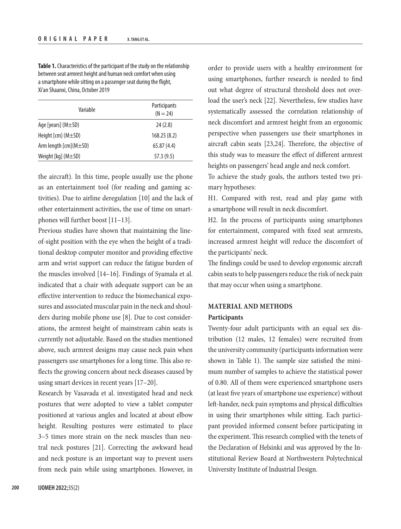**Table 1.** Characteristics of the participant of the study on the relationship between seat armrest height and human neck comfort when using a smartphone while sitting on a passenger seat during the flight, Xi'an Shaanxi, China, October 2019

| Variable                    | Participants<br>$(N = 24)$ |
|-----------------------------|----------------------------|
| Age [years] $(M \pm SD)$    | 24(2.8)                    |
| Height [cm] (M±SD)          | 168.25(8.2)                |
| Arm length $[cm](M \pm SD)$ | 65.87(4.4)                 |
| Weight [kg] $(M\pm SD)$     | 57.3(9.5)                  |

the aircraft). In this time, people usually use the phone as an entertainment tool (for reading and gaming activities). Due to airline deregulation [10] and the lack of other entertainment activities, the use of time on smartphones will further boost [11–13].

Previous studies have shown that maintaining the lineof-sight position with the eye when the height of a traditional desktop computer monitor and providing effective arm and wrist support can reduce the fatigue burden of the muscles involved [14–16]. Findings of Syamala et al. indicated that a chair with adequate support can be an effective intervention to reduce the biomechanical exposures and associated muscular pain in the neck and shoulders during mobile phone use [8]. Due to cost considerations, the armrest height of mainstream cabin seats is currently not adjustable. Based on the studies mentioned above, such armrest designs may cause neck pain when passengers use smartphones for a long time. This also reflects the growing concern about neck diseases caused by using smart devices in recent years [17–20].

Research by Vasavada et al. investigated head and neck postures that were adopted to view a tablet computer positioned at various angles and located at about elbow height. Resulting postures were estimated to place 3–5 times more strain on the neck muscles than neutral neck postures [21]. Correcting the awkward head and neck posture is an important way to prevent users from neck pain while using smartphones. However, in

order to provide users with a healthy environment for using smartphones, further research is needed to find out what degree of structural threshold does not overload the user's neck [22]. Nevertheless, few studies have systematically assessed the correlation relationship of neck discomfort and armrest height from an ergonomic perspective when passengers use their smartphones in aircraft cabin seats [23,24]. Therefore, the objective of this study was to measure the effect of different armrest heights on passengers' head angle and neck comfort.

To achieve the study goals, the authors tested two primary hypotheses:

H1. Compared with rest, read and play game with a smartphone will result in neck discomfort.

H2. In the process of participants using smartphones for entertainment, compared with fixed seat armrests, increased armrest height will reduce the discomfort of the participants' neck.

The findings could be used to develop ergonomic aircraft cabin seats to help passengers reduce the risk of neck pain that may occur when using a smartphone.

# **MATERIAL AND METHODS**

## **Participants**

Twenty-four adult participants with an equal sex distribution (12 males, 12 females) were recruited from the university community (participants information were shown in Table 1). The sample size satisfied the minimum number of samples to achieve the statistical power of 0.80. All of them were experienced smartphone users (at least five years of smartphone use experience) without left-hander, neck pain symptoms and physical difficulties in using their smartphones while sitting. Each participant provided informed consent before participating in the experiment. This research complied with the tenets of the Declaration of Helsinki and was approved by the Institutional Review Board at Northwestern Polytechnical University Institute of Industrial Design.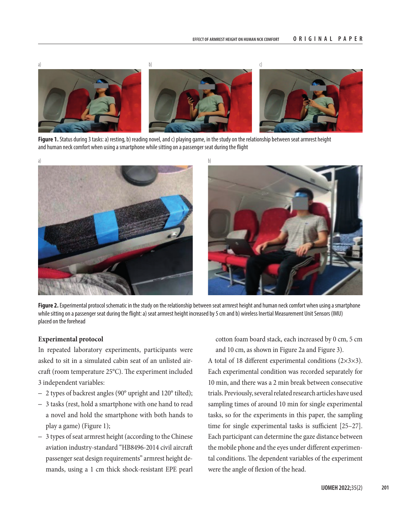

**Figure 1.** Status during 3 tasks: a) resting, b) reading novel, and c) playing game, in the study on the relationship between seat armrest height and human neck comfort when using a smartphone while sitting on a passenger seat during the flight



Figure 2. Experimental protocol schematic in the study on the relationship between seat armrest height and human neck comfort when using a smartphone while sitting on a passenger seat during the flight: a) seat armrest height increased by 5 cm and b) wireless Inertial Measurement Unit Sensors (IMU) placed on the forehead

## **Experimental protocol**

In repeated laboratory experiments, participants were asked to sit in a simulated cabin seat of an unlisted aircraft (room temperature 25°C). The experiment included 3 independent variables:

- 2 types of backrest angles (90° upright and 120° tilted);
- 3 tasks (rest, hold a smartphone with one hand to read a novel and hold the smartphone with both hands to play a game) (Figure 1);
- 3 types of seat armrest height (according to the Chinese aviation industry-standard "HB8496-2014 civil aircraft passenger seat design requirements" armrest height demands, using a 1 cm thick shock-resistant EPE pearl

cotton foam board stack, each increased by 0 cm, 5 cm and 10 cm, as shown in Figure 2a and Figure 3).

A total of 18 different experimental conditions (2×3×3). Each experimental condition was recorded separately for 10 min, and there was a 2 min break between consecutive trials. Previously, several related research articles have used sampling times of around 10 min for single experimental tasks, so for the experiments in this paper, the sampling time for single experimental tasks is sufficient [25–27]. Each participant can determine the gaze distance between the mobile phone and the eyes under different experimental conditions. The dependent variables of the experiment were the angle of flexion of the head.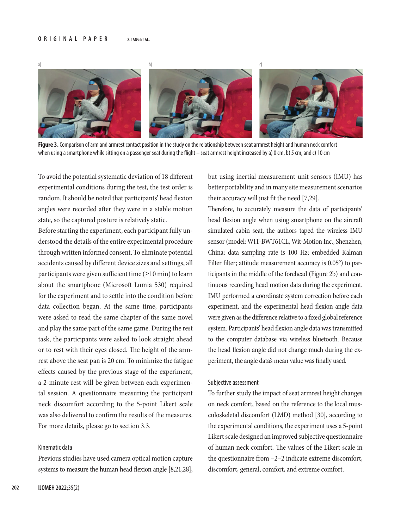

**Figure 3.** Comparison of arm and armrest contact position in the study on the relationship between seat armrest height and human neck comfort when using a smartphone while sitting on a passenger seat during the flight – seat armrest height increased by a) 0 cm, b) 5 cm, and c) 10 cm

To avoid the potential systematic deviation of 18 different experimental conditions during the test, the test order is random. It should be noted that participants' head flexion angles were recorded after they were in a stable motion state, so the captured posture is relatively static.

Before starting the experiment, each participant fully understood the details of the entire experimental procedure through written informed consent. To eliminate potential accidents caused by different device sizes and settings, all participants were given sufficient time  $(\geq 10 \text{ min})$  to learn about the smartphone (Microsoft Lumia 530) required for the experiment and to settle into the condition before data collection began. At the same time, participants were asked to read the same chapter of the same novel and play the same part of the same game. During the rest task, the participants were asked to look straight ahead or to rest with their eyes closed. The height of the armrest above the seat pan is 20 cm. To minimize the fatigue effects caused by the previous stage of the experiment, a 2-minute rest will be given between each experimental session. A questionnaire measuring the participant neck discomfort according to the 5-point Likert scale was also delivered to confirm the results of the measures. For more details, please go to section 3.3.

## Kinematic data

Previous studies have used camera optical motion capture systems to measure the human head flexion angle [8,21,28], but using inertial measurement unit sensors (IMU) has better portability and in many site measurement scenarios their accuracy will just fit the need [7,29].

Therefore, to accurately measure the data of participants' head flexion angle when using smartphone on the aircraft simulated cabin seat, the authors taped the wireless IMU sensor (model: WIT-BWT61CL, Wit-Motion Inc., Shenzhen, China; data sampling rate is 100 Hz; embedded Kalman Filter filter; attitude measurement accuracy is 0.05°) to participants in the middle of the forehead (Figure 2b) and continuous recording head motion data during the experiment. IMU performed a coordinate system correction before each experiment, and the experimental head flexion angle data were given as the difference relative to a fixed global reference system. Participants' head flexion angle data was transmitted to the computer database via wireless bluetooth. Because the head flexion angle did not change much during the experiment, the angle data's mean value was finally used.

#### Subjective assessment

To further study the impact of seat armrest height changes on neck comfort, based on the reference to the local musculoskeletal discomfort (LMD) method [30], according to the experimental conditions, the experiment uses a 5-point Likert scale designed an improved subjective questionnaire of human neck comfort. The values of the Likert scale in the questionnaire from –2–2 indicate extreme discomfort, discomfort, general, comfort, and extreme comfort.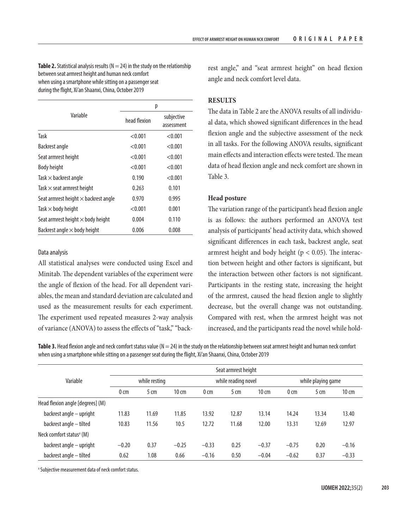**Table 2.** Statistical analysis results ( $N = 24$ ) in the study on the relationship between seat armrest height and human neck comfort when using a smartphone while sitting on a passenger seat during the flight, Xi'an Shaanxi, China, October 2019

|                                             | р            |                          |
|---------------------------------------------|--------------|--------------------------|
| Variable                                    | head flexion | subjective<br>assessment |
| Task                                        | < 0.001      | < 0.001                  |
| Backrest angle                              | < 0.001      | < 0.001                  |
| Seat armrest height                         | < 0.001      | < 0.001                  |
| <b>Body height</b>                          | < 0.001      | < 0.001                  |
| Task $\times$ backrest angle                | 0.190        | < 0.001                  |
| Task $\times$ seat armrest height           | 0.263        | 0.101                    |
| Seat armrest height $\times$ backrest angle | 0.970        | 0.995                    |
| Task $\times$ body height                   | < 0.001      | 0.001                    |
| Seat armrest height $\times$ body height    | 0.004        | 0.110                    |
| Backrest angle $\times$ body height         | 0.006        | 0.008                    |

## Data analysis

All statistical analyses were conducted using Excel and Minitab. The dependent variables of the experiment were the angle of flexion of the head. For all dependent variables, the mean and standard deviation are calculated and used as the measurement results for each experiment. The experiment used repeated measures 2-way analysis of variance (ANOVA) to assess the effects of "task," "back-

rest angle," and "seat armrest height" on head flexion angle and neck comfort level data.

## **RESULTS**

The data in Table 2 are the ANOVA results of all individual data, which showed significant differences in the head flexion angle and the subjective assessment of the neck in all tasks. For the following ANOVA results, significant main effects and interaction effects were tested. The mean data of head flexion angle and neck comfort are shown in Table 3.

## **Head posture**

The variation range of the participant's head flexion angle is as follows: the authors performed an ANOVA test analysis of participants' head activity data, which showed significant differences in each task, backrest angle, seat armrest height and body height ( $p < 0.05$ ). The interaction between height and other factors is significant, but the interaction between other factors is not significant. Participants in the resting state, increasing the height of the armrest, caused the head flexion angle to slightly decrease, but the overall change was not outstanding. Compared with rest, when the armrest height was not increased, and the participants read the novel while hold-

**Table 3.** Head flexion angle and neck comfort status value  $(N = 24)$  in the study on the relationship between seat armrest height and human neck comfort when using a smartphone while sitting on a passenger seat during the flight, Xi'an Shaanxi, China, October 2019

| Variable                             | Seat armrest height |                 |                 |                     |                 |                 |                    |                 |                 |
|--------------------------------------|---------------------|-----------------|-----------------|---------------------|-----------------|-----------------|--------------------|-----------------|-----------------|
|                                      | while resting       |                 |                 | while reading novel |                 |                 | while playing game |                 |                 |
|                                      | 0 <sub>cm</sub>     | 5 <sub>cm</sub> | $10 \text{ cm}$ | 0 <sub>cm</sub>     | 5 <sub>cm</sub> | $10 \text{ cm}$ | 0 <sub>cm</sub>    | 5 <sub>cm</sub> | $10 \text{ cm}$ |
| Head flexion angle [degrees] (M)     |                     |                 |                 |                     |                 |                 |                    |                 |                 |
| backrest angle - upright             | 11.83               | 11.69           | 11.85           | 13.92               | 12.87           | 13.14           | 14.24              | 13.34           | 13.40           |
| backrest angle - tilted              | 10.83               | 11.56           | 10.5            | 12.72               | 11.68           | 12.00           | 13.31              | 12.69           | 12.97           |
| Neck comfort status <sup>a</sup> (M) |                     |                 |                 |                     |                 |                 |                    |                 |                 |
| backrest angle – upright             | $-0.20$             | 0.37            | $-0.25$         | $-0.33$             | 0.25            | $-0.37$         | $-0.75$            | 0.20            | $-0.16$         |
| backrest angle - tilted              | 0.62                | 1.08            | 0.66            | $-0.16$             | 0.50            | $-0.04$         | $-0.62$            | 0.37            | $-0.33$         |

a Subjective measurement data of neck comfort status.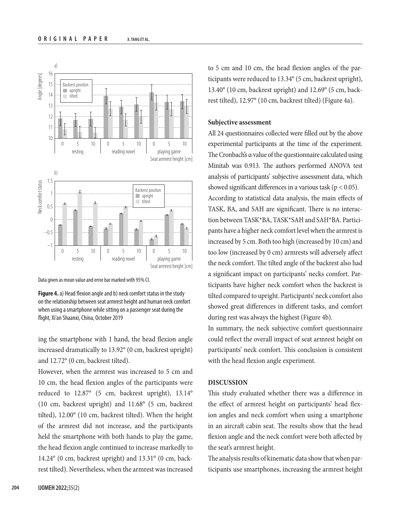

Data given as mean value and error bar marked with 95% CI.

**Figure 4.** a) Head flexion angle and b) neck comfort status in the study on the relationship between seat armrest height and human neck comfort when using a smartphone while sitting on a passenger seat during the flight, Xi'an Shaanxi, China, October 2019

ing the smartphone with 1 hand, the head flexion angle increased dramatically to 13.92° (0 cm, backrest upright) and 12.72° (0 cm, backrest tilted).

However, when the armrest was increased to 5 cm and 10 cm, the head flexion angles of the participants were reduced to 12.87° (5 cm, backrest upright), 13.14° (10 cm, backrest upright) and 11.68° (5 cm, backrest tilted), 12.00° (10 cm, backrest tilted). When the height of the armrest did not increase, and the participants held the smartphone with both hands to play the game, the head flexion angle continued to increase markedly to 14.24° (0 cm, backrest upright) and 13.31° (0 cm, backrest tilted). Nevertheless, when the armrest was increased

to 5 cm and 10 cm, the head flexion angles of the participants were reduced to 13.34° (5 cm, backrest upright), 13.40° (10 cm, backrest upright) and 12.69° (5 cm, backrest tilted), 12.97° (10 cm, backrest tilted) (Figure 4a).

## **Subjective assessment**

All 24 questionnaires collected were filled out by the above experimental participants at the time of the experiment. The Cronbach's α value of the questionnaire calculated using Minitab was 0.913. The authors performed ANOVA test analysis of participants' subjective assessment data, which showed significant differences in a various task ( $p < 0.05$ ). According to statistical data analysis, the main effects of TASK, BA, and SAH are significant. There is no interaction between TASK\*BA, TASK\*SAH and SAH\*BA. Participants have a higher neck comfort level when the armrest is increased by 5 cm. Both too high (increased by 10 cm) and too low (increased by 0 cm) armrests will adversely affect the neck comfort. The tilted angle of the backrest also had a significant impact on participants' necks comfort. Participants have higher neck comfort when the backrest is tilted compared to upright. Participants' neck comfort also showed great differences in different tasks, and comfort during rest was always the highest (Figure 4b).

In summary, the neck subjective comfort questionnaire could reflect the overall impact of seat armrest height on participants' neck comfort. This conclusion is consistent with the head flexion angle experiment.

#### **DISCUSSION**

This study evaluated whether there was a difference in the effect of armrest height on participants' head flexion angles and neck comfort when using a smartphone in an aircraft cabin seat. The results show that the head flexion angle and the neck comfort were both affected by the seat's armrest height.

The analysis results of kinematic data show that when participants use smartphones, increasing the armrest height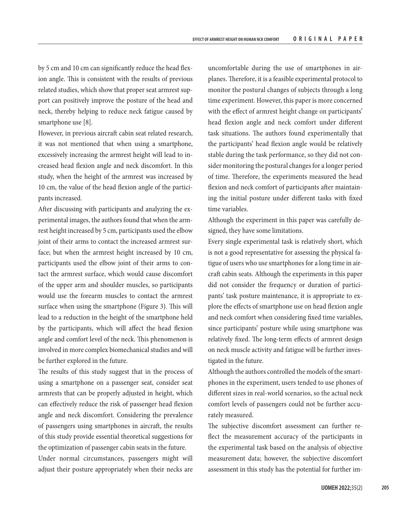by 5 cm and 10 cm can significantly reduce the head flexion angle. This is consistent with the results of previous related studies, which show that proper seat armrest support can positively improve the posture of the head and neck, thereby helping to reduce neck fatigue caused by smartphone use [8].

However, in previous aircraft cabin seat related research, it was not mentioned that when using a smartphone, excessively increasing the armrest height will lead to increased head flexion angle and neck discomfort. In this study, when the height of the armrest was increased by 10 cm, the value of the head flexion angle of the participants increased.

After discussing with participants and analyzing the experimental images, the authors found that when the armrest height increased by 5 cm, participants used the elbow joint of their arms to contact the increased armrest surface; but when the armrest height increased by 10 cm, participants used the elbow joint of their arms to contact the armrest surface, which would cause discomfort of the upper arm and shoulder muscles, so participants would use the forearm muscles to contact the armrest surface when using the smartphone (Figure 3). This will lead to a reduction in the height of the smartphone held by the participants, which will affect the head flexion angle and comfort level of the neck. This phenomenon is involved in more complex biomechanical studies and will be further explored in the future.

The results of this study suggest that in the process of using a smartphone on a passenger seat, consider seat armrests that can be properly adjusted in height, which can effectively reduce the risk of passenger head flexion angle and neck discomfort. Considering the prevalence of passengers using smartphones in aircraft, the results of this study provide essential theoretical suggestions for the optimization of passenger cabin seats in the future.

Under normal circumstances, passengers might will adjust their posture appropriately when their necks are

uncomfortable during the use of smartphones in airplanes. Therefore, it is a feasible experimental protocol to monitor the postural changes of subjects through a long time experiment. However, this paper is more concerned with the effect of armrest height change on participants' head flexion angle and neck comfort under different task situations. The authors found experimentally that the participants' head flexion angle would be relatively stable during the task performance, so they did not consider monitoring the postural changes for a longer period of time. Therefore, the experiments measured the head flexion and neck comfort of participants after maintaining the initial posture under different tasks with fixed time variables.

Although the experiment in this paper was carefully designed, they have some limitations.

Every single experimental task is relatively short, which is not a good representative for assessing the physical fatigue of users who use smartphones for a long time in aircraft cabin seats. Although the experiments in this paper did not consider the frequency or duration of participants' task posture maintenance, it is appropriate to explore the effects of smartphone use on head flexion angle and neck comfort when considering fixed time variables, since participants' posture while using smartphone was relatively fixed. The long-term effects of armrest design on neck muscle activity and fatigue will be further investigated in the future.

Although the authors controlled the models of the smartphones in the experiment, users tended to use phones of different sizes in real-world scenarios, so the actual neck comfort levels of passengers could not be further accurately measured.

The subjective discomfort assessment can further reflect the measurement accuracy of the participants in the experimental task based on the analysis of objective measurement data; however, the subjective discomfort assessment in this study has the potential for further im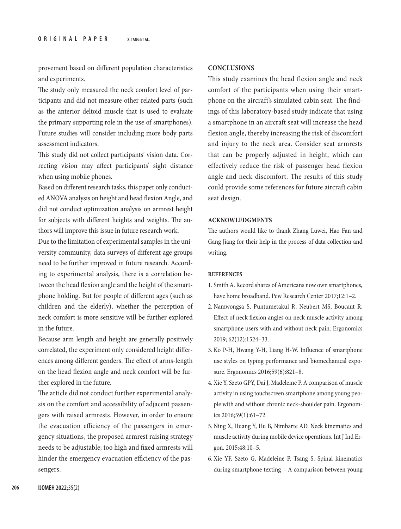provement based on different population characteristics and experiments.

The study only measured the neck comfort level of participants and did not measure other related parts (such as the anterior deltoid muscle that is used to evaluate the primary supporting role in the use of smartphones). Future studies will consider including more body parts assessment indicators.

This study did not collect participants' vision data. Correcting vision may affect participants' sight distance when using mobile phones.

Based on different research tasks, this paper only conducted ANOVA analysis on height and head flexion Angle, and did not conduct optimization analysis on armrest height for subjects with different heights and weights. The authors will improve this issue in future research work.

Due to the limitation of experimental samples in the university community, data surveys of different age groups need to be further improved in future research. According to experimental analysis, there is a correlation between the head flexion angle and the height of the smartphone holding. But for people of different ages (such as children and the elderly), whether the perception of neck comfort is more sensitive will be further explored in the future.

Because arm length and height are generally positively correlated, the experiment only considered height differences among different genders. The effect of arms-length on the head flexion angle and neck comfort will be further explored in the future.

The article did not conduct further experimental analysis on the comfort and accessibility of adjacent passengers with raised armrests. However, in order to ensure the evacuation efficiency of the passengers in emergency situations, the proposed armrest raising strategy needs to be adjustable; too high and fixed armrests will hinder the emergency evacuation efficiency of the passengers.

## **CONCLUSIONS**

This study examines the head flexion angle and neck comfort of the participants when using their smartphone on the aircraft's simulated cabin seat. The findings of this laboratory-based study indicate that using a smartphone in an aircraft seat will increase the head flexion angle, thereby increasing the risk of discomfort and injury to the neck area. Consider seat armrests that can be properly adjusted in height, which can effectively reduce the risk of passenger head flexion angle and neck discomfort. The results of this study could provide some references for future aircraft cabin seat design.

#### **ACKNOWLEDGMENTS**

The authors would like to thank Zhang Luwei, Hao Fan and Gang Jiang for their help in the process of data collection and writing.

## **REFERENCES**

- 1. Smith A. Record shares of Americans now own smartphones, have home broadband. Pew Research Center 2017;12:1–2.
- 2. Namwongsa S, Puntumetakul R, Neubert MS, Boucaut R. Effect of neck flexion angles on neck muscle activity among smartphone users with and without neck pain. Ergonomics 2019; 62(12):1524–33.
- 3. Ko P-H, Hwang Y-H, Liang H-W. Influence of smartphone use styles on typing performance and biomechanical exposure. Ergonomics 2016;59(6):821–8.
- 4. Xie Y, Szeto GPY, Dai J, Madeleine P. A comparison of muscle activity in using touchscreen smartphone among young people with and without chronic neck-shoulder pain. Ergonomics 2016;59(1):61–72.
- 5. Ning X, Huang Y, Hu B, Nimbarte AD. Neck kinematics and muscle activity during mobile device operations. Int J Ind Ergon. 2015;48:10–5.
- 6. Xie YF, Szeto G, Madeleine P, Tsang S. Spinal kinematics during smartphone texting – A comparison between young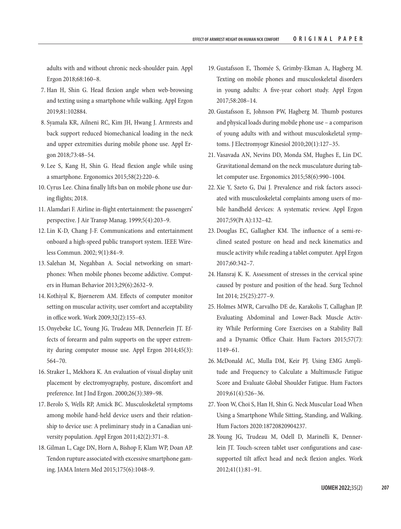adults with and without chronic neck-shoulder pain. Appl Ergon 2018;68:160–8.

- 7. Han H, Shin G. Head flexion angle when web-browsing and texting using a smartphone while walking. Appl Ergon 2019;81:102884.
- 8. Syamala KR, Ailneni RC, Kim JH, Hwang J. Armrests and back support reduced biomechanical loading in the neck and upper extremities during mobile phone use. Appl Ergon 2018;73:48–54.
- 9. Lee S, Kang H, Shin G. Head flexion angle while using a smartphone. Ergonomics 2015;58(2):220–6.
- 10. Cyrus Lee. China finally lifts ban on mobile phone use during flights; 2018.
- 11. Alamdari F. Airline in-flight entertainment: the passengers' perspective. J Air Transp Manag. 1999;5(4):203–9.
- 12. Lin K-D, Chang J-F. Communications and entertainment onboard a high-speed public transport system. IEEE Wireless Commun. 2002; 9(1):84–9.
- 13. Salehan M, Negahban A. Social networking on smartphones: When mobile phones become addictive. Computers in Human Behavior 2013;29(6):2632–9.
- 14. Kothiyal K, Bjørnerem AM. Effects of computer monitor setting on muscular activity, user comfort and acceptability in office work. Work 2009;32(2):155–63.
- 15. Onyebeke LC, Young JG, Trudeau MB, Dennerlein JT. Effects of forearm and palm supports on the upper extremity during computer mouse use. Appl Ergon 2014;45(3): 564–70.
- 16. Straker L, Mekhora K. An evaluation of visual display unit placement by electromyography, posture, discomfort and preference. Int J Ind Ergon. 2000;26(3):389–98.
- 17. Berolo S, Wells RP, Amick BC. Musculoskeletal symptoms among mobile hand-held device users and their relationship to device use: A preliminary study in a Canadian university population. Appl Ergon 2011;42(2):371–8.
- 18. Gilman L, Cage DN, Horn A, Bishop F, Klam WP, Doan AP. Tendon rupture associated with excessive smartphone gaming. JAMA Intern Med 2015;175(6):1048–9.
- 19. Gustafsson E, Thomée S, Grimby-Ekman A, Hagberg M. Texting on mobile phones and musculoskeletal disorders in young adults: A five-year cohort study. Appl Ergon 2017;58:208–14.
- 20. Gustafsson E, Johnson PW, Hagberg M. Thumb postures and physical loads during mobile phone use – a comparison of young adults with and without musculoskeletal symptoms. J Electromyogr Kinesiol 2010;20(1):127–35.
- 21. Vasavada AN, Nevins DD, Monda SM, Hughes E, Lin DC. Gravitational demand on the neck musculature during tablet computer use. Ergonomics 2015;58(6):990–1004.
- 22. Xie Y, Szeto G, Dai J. Prevalence and risk factors associated with musculoskeletal complaints among users of mobile handheld devices: A systematic review. Appl Ergon 2017;59(Pt A):132–42.
- 23. Douglas EC, Gallagher KM. The influence of a semi-reclined seated posture on head and neck kinematics and muscle activity while reading a tablet computer. Appl Ergon 2017;60:342–7.
- 24. Hansraj K. K. Assessment of stresses in the cervical spine caused by posture and position of the head. Surg Technol Int 2014; 25(25):277–9.
- 25. Holmes MWR, Carvalho DE de, Karakolis T, Callaghan JP. Evaluating Abdominal and Lower-Back Muscle Activity While Performing Core Exercises on a Stability Ball and a Dynamic Office Chair. Hum Factors 2015;57(7): 1149–61.
- 26. McDonald AC, Mulla DM, Keir PJ. Using EMG Amplitude and Frequency to Calculate a Multimuscle Fatigue Score and Evaluate Global Shoulder Fatigue. Hum Factors 2019;61(4):526–36.
- 27. Yoon W, Choi S, Han H, Shin G. Neck Muscular Load When Using a Smartphone While Sitting, Standing, and Walking. Hum Factors 2020:18720820904237.
- 28. Young JG, Trudeau M, Odell D, Marinelli K, Dennerlein JT. Touch-screen tablet user configurations and casesupported tilt affect head and neck flexion angles. Work 2012;41(1):81–91.